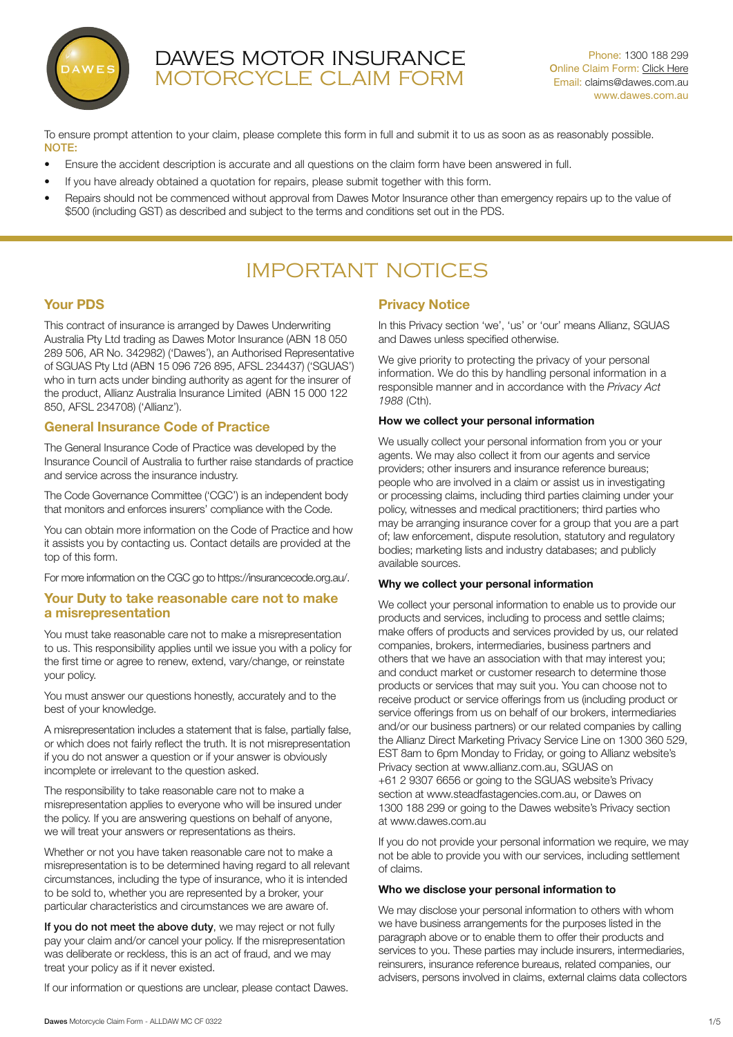

# DAWES MOTOR INSURANCE MOTORCYCLE CLAIM FORM

To ensure prompt attention to your claim, please complete this form in full and submit it to us as soon as as reasonably possible. NOTE:

- Ensure the accident description is accurate and all questions on the claim form have been answered in full.
- If you have already obtained a quotation for repairs, please submit together with this form.
- Repairs should not be commenced without approval from Dawes Motor Insurance other than emergency repairs up to the value of \$500 (including GST) as described and subject to the terms and conditions set out in the PDS.

# IMPORTANT NOTICES

# Your PDS

This contract of insurance is arranged by Dawes Underwriting Australia Pty Ltd trading as Dawes Motor Insurance (ABN 18 050 289 506, AR No. 342982) ('Dawes'), an Authorised Representative of SGUAS Pty Ltd (ABN 15 096 726 895, AFSL 234437) ('SGUAS') who in turn acts under binding authority as agent for the insurer of the product, Allianz Australia Insurance Limited (ABN 15 000 122 850, AFSL 234708) ('Allianz').

# General Insurance Code of Practice

The General Insurance Code of Practice was developed by the Insurance Council of Australia to further raise standards of practice and service across the insurance industry.

The Code Governance Committee ('CGC') is an independent body that monitors and enforces insurers' compliance with the Code.

You can obtain more information on the Code of Practice and how it assists you by contacting us. Contact details are provided at the top of this form.

For more information on the CGC go to https://insurancecode.org.au/.

## Your Duty to take reasonable care not to make a misrepresentation

You must take reasonable care not to make a misrepresentation to us. This responsibility applies until we issue you with a policy for the first time or agree to renew, extend, vary/change, or reinstate your policy.

You must answer our questions honestly, accurately and to the best of your knowledge.

A misrepresentation includes a statement that is false, partially false, or which does not fairly reflect the truth. It is not misrepresentation if you do not answer a question or if your answer is obviously incomplete or irrelevant to the question asked.

The responsibility to take reasonable care not to make a misrepresentation applies to everyone who will be insured under the policy. If you are answering questions on behalf of anyone, we will treat your answers or representations as theirs.

Whether or not you have taken reasonable care not to make a misrepresentation is to be determined having regard to all relevant circumstances, including the type of insurance, who it is intended to be sold to, whether you are represented by a broker, your particular characteristics and circumstances we are aware of.

If you do not meet the above duty, we may reject or not fully pay your claim and/or cancel your policy. If the misrepresentation was deliberate or reckless, this is an act of fraud, and we may treat your policy as if it never existed.

If our information or questions are unclear, please contact Dawes.

# Privacy Notice

In this Privacy section 'we', 'us' or 'our' means Allianz, SGUAS and Dawes unless specified otherwise.

We give priority to protecting the privacy of your personal information. We do this by handling personal information in a responsible manner and in accordance with the *Privacy Act 1988* (Cth).

#### How we collect your personal information

We usually collect your personal information from you or your agents. We may also collect it from our agents and service providers; other insurers and insurance reference bureaus; people who are involved in a claim or assist us in investigating or processing claims, including third parties claiming under your policy, witnesses and medical practitioners; third parties who may be arranging insurance cover for a group that you are a part of; law enforcement, dispute resolution, statutory and regulatory bodies; marketing lists and industry databases; and publicly available sources.

#### Why we collect your personal information

We collect your personal information to enable us to provide our products and services, including to process and settle claims; make offers of products and services provided by us, our related companies, brokers, intermediaries, business partners and others that we have an association with that may interest you; and conduct market or customer research to determine those products or services that may suit you. You can choose not to receive product or service offerings from us (including product or service offerings from us on behalf of our brokers, intermediaries and/or our business partners) or our related companies by calling the Allianz Direct Marketing Privacy Service Line on 1300 360 529, EST 8am to 6pm Monday to Friday, or going to Allianz website's Privacy section at www.allianz.com.au, SGUAS on +61 2 9307 6656 or going to the SGUAS website's Privacy section at www.steadfastagencies.com.au, or Dawes on 1300 188 299 or going to the Dawes website's Privacy section at www.dawes.com.au

If you do not provide your personal information we require, we may not be able to provide you with our services, including settlement of claims.

#### Who we disclose your personal information to

We may disclose your personal information to others with whom we have business arrangements for the purposes listed in the paragraph above or to enable them to offer their products and services to you. These parties may include insurers, intermediaries, reinsurers, insurance reference bureaus, related companies, our advisers, persons involved in claims, external claims data collectors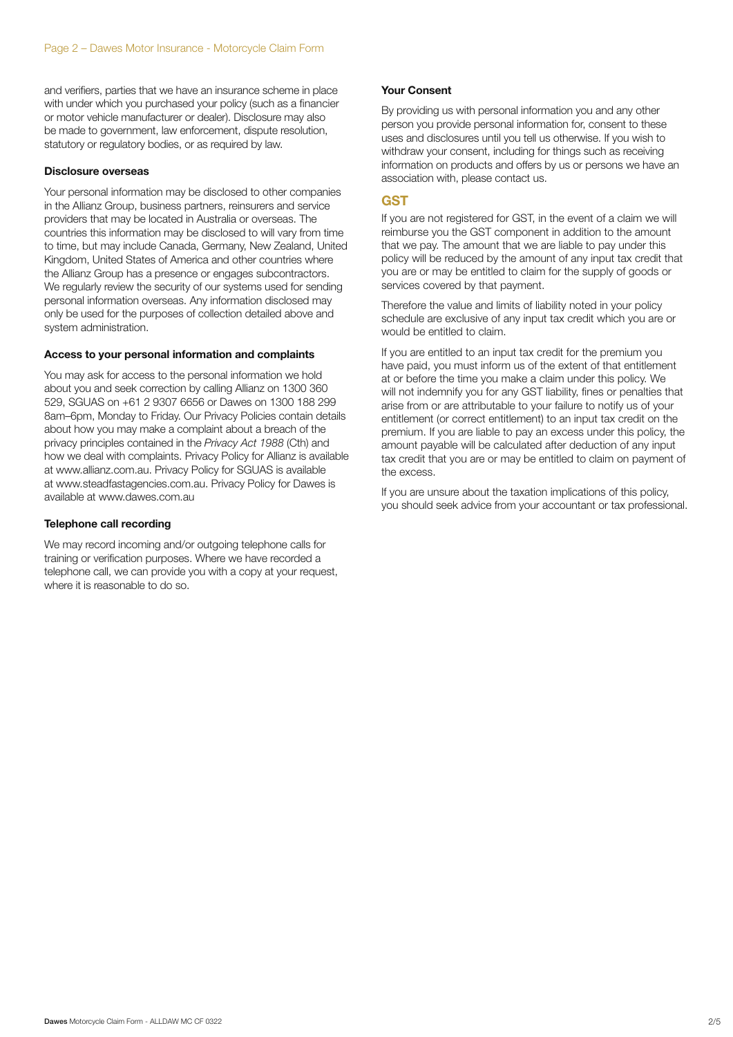and verifiers, parties that we have an insurance scheme in place with under which you purchased your policy (such as a financier or motor vehicle manufacturer or dealer). Disclosure may also be made to government, law enforcement, dispute resolution, statutory or regulatory bodies, or as required by law.

#### Disclosure overseas

Your personal information may be disclosed to other companies in the Allianz Group, business partners, reinsurers and service providers that may be located in Australia or overseas. The countries this information may be disclosed to will vary from time to time, but may include Canada, Germany, New Zealand, United Kingdom, United States of America and other countries where the Allianz Group has a presence or engages subcontractors. We regularly review the security of our systems used for sending personal information overseas. Any information disclosed may only be used for the purposes of collection detailed above and system administration.

#### Access to your personal information and complaints

You may ask for access to the personal information we hold about you and seek correction by calling Allianz on 1300 360 529, SGUAS on +61 2 9307 6656 or Dawes on 1300 188 299 8am–6pm, Monday to Friday. Our Privacy Policies contain details about how you may make a complaint about a breach of the privacy principles contained in the *Privacy Act 1988* (Cth) and how we deal with complaints. Privacy Policy for Allianz is available at www.allianz.com.au. Privacy Policy for SGUAS is available at www.steadfastagencies.com.au. Privacy Policy for Dawes is available at www.dawes.com.au

#### Telephone call recording

We may record incoming and/or outgoing telephone calls for training or verification purposes. Where we have recorded a telephone call, we can provide you with a copy at your request, where it is reasonable to do so.

#### Your Consent

By providing us with personal information you and any other person you provide personal information for, consent to these uses and disclosures until you tell us otherwise. If you wish to withdraw your consent, including for things such as receiving information on products and offers by us or persons we have an association with, please contact us.

#### GST

If you are not registered for GST, in the event of a claim we will reimburse you the GST component in addition to the amount that we pay. The amount that we are liable to pay under this policy will be reduced by the amount of any input tax credit that you are or may be entitled to claim for the supply of goods or services covered by that payment.

Therefore the value and limits of liability noted in your policy schedule are exclusive of any input tax credit which you are or would be entitled to claim.

If you are entitled to an input tax credit for the premium you have paid, you must inform us of the extent of that entitlement at or before the time you make a claim under this policy. We will not indemnify you for any GST liability, fines or penalties that arise from or are attributable to your failure to notify us of your entitlement (or correct entitlement) to an input tax credit on the premium. If you are liable to pay an excess under this policy, the amount payable will be calculated after deduction of any input tax credit that you are or may be entitled to claim on payment of the excess.

If you are unsure about the taxation implications of this policy, you should seek advice from your accountant or tax professional.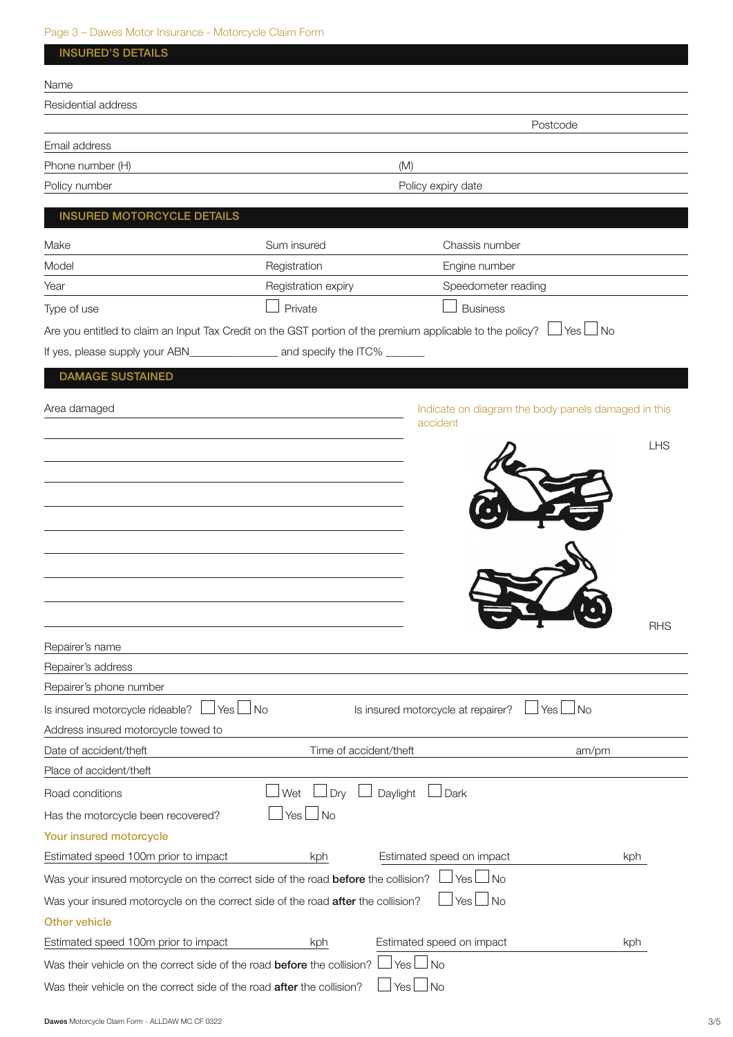# Page 3 – Dawes Motor Insurance - Motorcycle Claim Form

| <b>INSURED'S DETAILS</b>                                                                                    |                        |                                    |                                                     |
|-------------------------------------------------------------------------------------------------------------|------------------------|------------------------------------|-----------------------------------------------------|
| Name                                                                                                        |                        |                                    |                                                     |
| Residential address                                                                                         |                        |                                    |                                                     |
|                                                                                                             |                        |                                    | Postcode                                            |
| Email address                                                                                               |                        |                                    |                                                     |
| Phone number (H)                                                                                            |                        | (M)                                |                                                     |
| Policy number                                                                                               |                        | Policy expiry date                 |                                                     |
| <b>INSURED MOTORCYCLE DETAILS</b>                                                                           |                        |                                    |                                                     |
| Make                                                                                                        | Sum insured            | Chassis number                     |                                                     |
| Model                                                                                                       | Registration           | Engine number                      |                                                     |
| Year                                                                                                        | Registration expiry    | Speedometer reading                |                                                     |
| Type of use                                                                                                 | Private                | <b>Business</b>                    |                                                     |
| Are you entitled to claim an Input Tax Credit on the GST portion of the premium applicable to the policy? L |                        |                                    | Yes $\Box$ No                                       |
|                                                                                                             |                        |                                    |                                                     |
| <b>DAMAGE SUSTAINED</b>                                                                                     |                        |                                    |                                                     |
|                                                                                                             |                        |                                    |                                                     |
| Area damaged                                                                                                |                        | accident                           | Indicate on diagram the body panels damaged in this |
|                                                                                                             |                        |                                    | <b>LHS</b>                                          |
|                                                                                                             |                        |                                    |                                                     |
|                                                                                                             |                        |                                    |                                                     |
|                                                                                                             |                        |                                    |                                                     |
|                                                                                                             |                        |                                    |                                                     |
|                                                                                                             |                        |                                    |                                                     |
|                                                                                                             |                        |                                    |                                                     |
|                                                                                                             |                        |                                    |                                                     |
|                                                                                                             |                        |                                    |                                                     |
|                                                                                                             |                        |                                    | RHS                                                 |
| Repairer's name<br>Repairer's address                                                                       |                        |                                    |                                                     |
| Repairer's phone number                                                                                     |                        |                                    |                                                     |
| Is insured motorcycle rideable?<br>⊿ Yes ∟                                                                  | l No                   | Is insured motorcycle at repairer? | $\Box$ No<br>Yes                                    |
| Address insured motorcycle towed to                                                                         |                        |                                    |                                                     |
| Date of accident/theft                                                                                      | Time of accident/theft |                                    | am/pm                                               |
| Place of accident/theft                                                                                     |                        |                                    |                                                     |
| Road conditions                                                                                             | Wet<br>Dry             | Daylight<br>Dark                   |                                                     |
| Has the motorcycle been recovered?                                                                          | $\Box$ No<br>Yes I     |                                    |                                                     |
| Your insured motorcycle                                                                                     |                        |                                    |                                                     |
| Estimated speed 100m prior to impact                                                                        | kph                    | Estimated speed on impact          | kph                                                 |
| Was your insured motorcycle on the correct side of the road before the collision?                           |                        | $\blacksquare$ No<br>Yes L         |                                                     |
| Was your insured motorcycle on the correct side of the road after the collision?                            |                        | $\Box$ No<br>Yes I                 |                                                     |
| <b>Other vehicle</b>                                                                                        |                        |                                    |                                                     |
| Estimated speed 100m prior to impact                                                                        | kph                    | Estimated speed on impact          | kph                                                 |
| Was their vehicle on the correct side of the road before the collision?                                     |                        | No.<br>Yes                         |                                                     |
| Was their vehicle on the correct side of the road after the collision?                                      |                        | No<br>Yes                          |                                                     |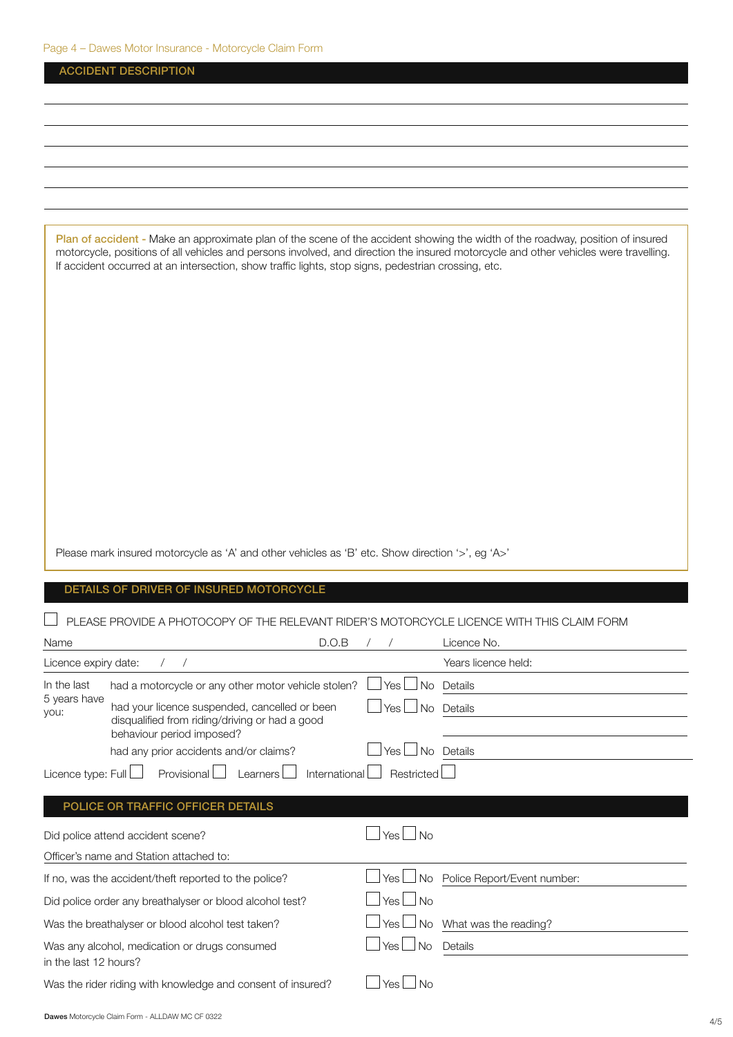|                       | <b>ACCIDENT DESCRIPTION</b>                                                                                                                                                                                                                                                                                                                                                   |               |                             |
|-----------------------|-------------------------------------------------------------------------------------------------------------------------------------------------------------------------------------------------------------------------------------------------------------------------------------------------------------------------------------------------------------------------------|---------------|-----------------------------|
|                       |                                                                                                                                                                                                                                                                                                                                                                               |               |                             |
|                       |                                                                                                                                                                                                                                                                                                                                                                               |               |                             |
|                       |                                                                                                                                                                                                                                                                                                                                                                               |               |                             |
|                       |                                                                                                                                                                                                                                                                                                                                                                               |               |                             |
|                       |                                                                                                                                                                                                                                                                                                                                                                               |               |                             |
|                       |                                                                                                                                                                                                                                                                                                                                                                               |               |                             |
|                       | Plan of accident - Make an approximate plan of the scene of the accident showing the width of the roadway, position of insured<br>motorcycle, positions of all vehicles and persons involved, and direction the insured motorcycle and other vehicles were travelling.<br>If accident occurred at an intersection, show traffic lights, stop signs, pedestrian crossing, etc. |               |                             |
|                       |                                                                                                                                                                                                                                                                                                                                                                               |               |                             |
|                       |                                                                                                                                                                                                                                                                                                                                                                               |               |                             |
|                       | Please mark insured motorcycle as 'A' and other vehicles as 'B' etc. Show direction '>', eg 'A>'                                                                                                                                                                                                                                                                              |               |                             |
|                       | DETAILS OF DRIVER OF INSURED MOTORCYCLE                                                                                                                                                                                                                                                                                                                                       |               |                             |
|                       | PLEASE PROVIDE A PHOTOCOPY OF THE RELEVANT RIDER'S MOTORCYCLE LICENCE WITH THIS CLAIM FORM                                                                                                                                                                                                                                                                                    |               |                             |
| Name                  | D.O.B                                                                                                                                                                                                                                                                                                                                                                         |               | Licence No.                 |
| Licence expiry date:  | $\sqrt{2}$<br>$\sqrt{2}$                                                                                                                                                                                                                                                                                                                                                      |               | Years licence held:         |
| In the last           | had a motorcycle or any other motor vehicle stolen?                                                                                                                                                                                                                                                                                                                           | l Yes<br>No   | Details                     |
| 5 years have<br>you:  | had your licence suspended, cancelled or been<br>disqualified from riding/driving or had a good<br>behaviour period imposed?                                                                                                                                                                                                                                                  | l Yes<br>No   | Details                     |
|                       | had any prior accidents and/or claims?                                                                                                                                                                                                                                                                                                                                        | Yes I         | $\Box$ No Details           |
| Licence type: $Full$  | Provisional<br>Learners<br>International                                                                                                                                                                                                                                                                                                                                      | Restricted    |                             |
|                       | POLICE OR TRAFFIC OFFICER DETAILS                                                                                                                                                                                                                                                                                                                                             |               |                             |
|                       | Did police attend accident scene?                                                                                                                                                                                                                                                                                                                                             | Yes $\Box$ No |                             |
|                       | Officer's name and Station attached to:                                                                                                                                                                                                                                                                                                                                       |               |                             |
|                       | If no, was the accident/theft reported to the police?                                                                                                                                                                                                                                                                                                                         | Yes L<br>l No | Police Report/Event number: |
|                       | Did police order any breathalyser or blood alcohol test?                                                                                                                                                                                                                                                                                                                      | $Yes \Box No$ |                             |
|                       | Was the breathalyser or blood alcohol test taken?                                                                                                                                                                                                                                                                                                                             | Yes I         | No What was the reading?    |
| in the last 12 hours? | Was any alcohol, medication or drugs consumed                                                                                                                                                                                                                                                                                                                                 | Yes<br>l No   | Details                     |
|                       | Was the rider riding with knowledge and consent of insured?                                                                                                                                                                                                                                                                                                                   | Yes l<br>l No |                             |